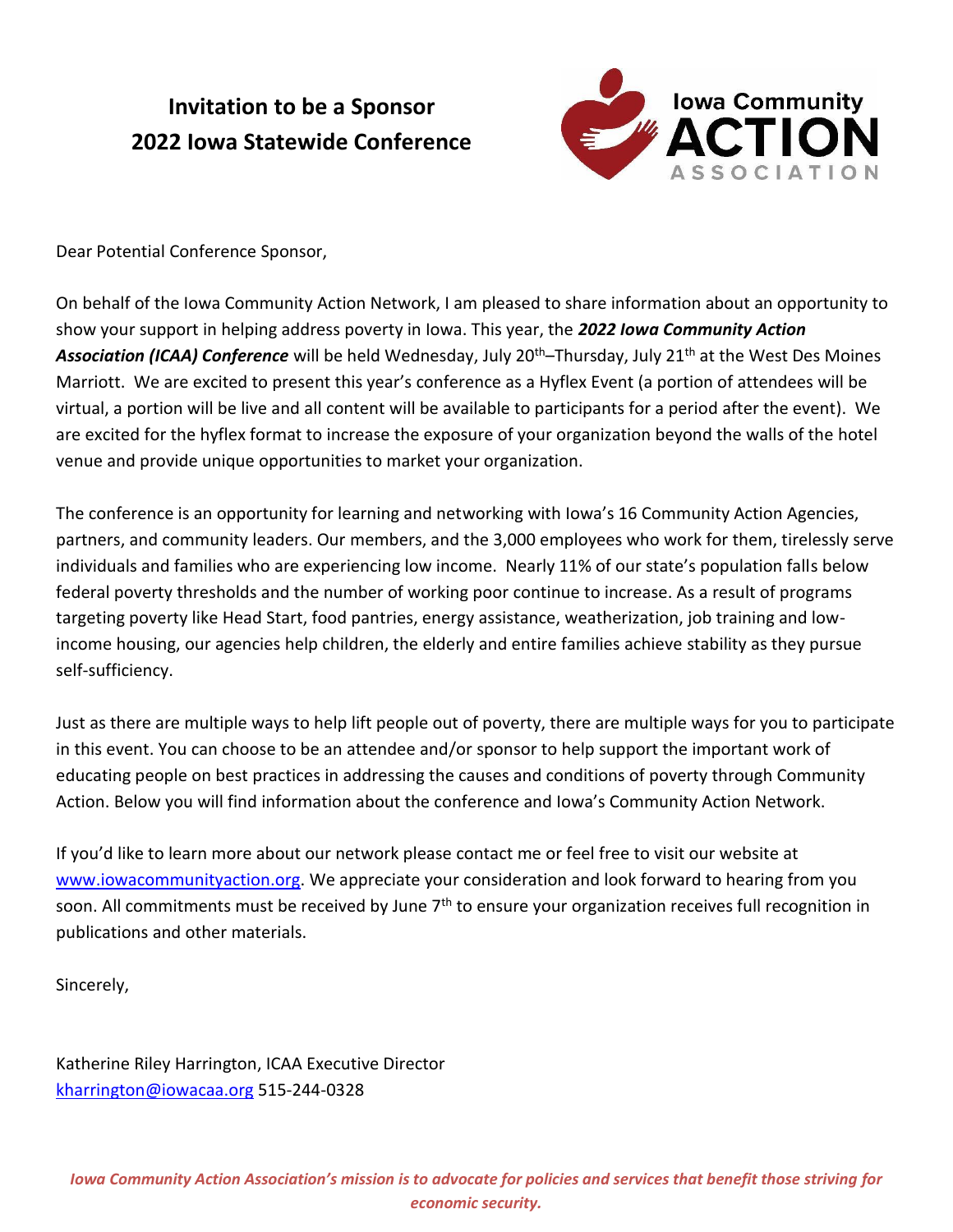# **Invitation to be a Sponsor 2022 Iowa Statewide Conference**



Dear Potential Conference Sponsor,

On behalf of the Iowa Community Action Network, I am pleased to share information about an opportunity to show your support in helping address poverty in Iowa. This year, the *2022 Iowa Community Action Association (ICAA) Conference* will be held Wednesday, July 20th–Thursday, July 21th at the West Des Moines Marriott. We are excited to present this year's conference as a Hyflex Event (a portion of attendees will be virtual, a portion will be live and all content will be available to participants for a period after the event). We are excited for the hyflex format to increase the exposure of your organization beyond the walls of the hotel venue and provide unique opportunities to market your organization.

The conference is an opportunity for learning and networking with Iowa's 16 Community Action Agencies, partners, and community leaders. Our members, and the 3,000 employees who work for them, tirelessly serve individuals and families who are experiencing low income. Nearly 11% of our state's population falls below federal poverty thresholds and the number of working poor continue to increase. As a result of programs targeting poverty like Head Start, food pantries, energy assistance, weatherization, job training and lowincome housing, our agencies help children, the elderly and entire families achieve stability as they pursue self-sufficiency.

Just as there are multiple ways to help lift people out of poverty, there are multiple ways for you to participate in this event. You can choose to be an attendee and/or sponsor to help support the important work of educating people on best practices in addressing the causes and conditions of poverty through Community Action. Below you will find information about the conference and Iowa's Community Action Network.

If you'd like to learn more about our network please contact me or feel free to visit our website at [www.iowacommunityaction.org.](http://www.iowacommunityaction.org/) We appreciate your consideration and look forward to hearing from you soon. All commitments must be received by June 7<sup>th</sup> to ensure your organization receives full recognition in publications and other materials.

Sincerely,

Katherine Riley Harrington, ICAA Executive Director [kharrington@iowacaa.org](mailto:kharrington@iowacaa.org) 515-244-0328

*Iowa Community Action Association's mission is to advocate for policies and services that benefit those striving for economic security.*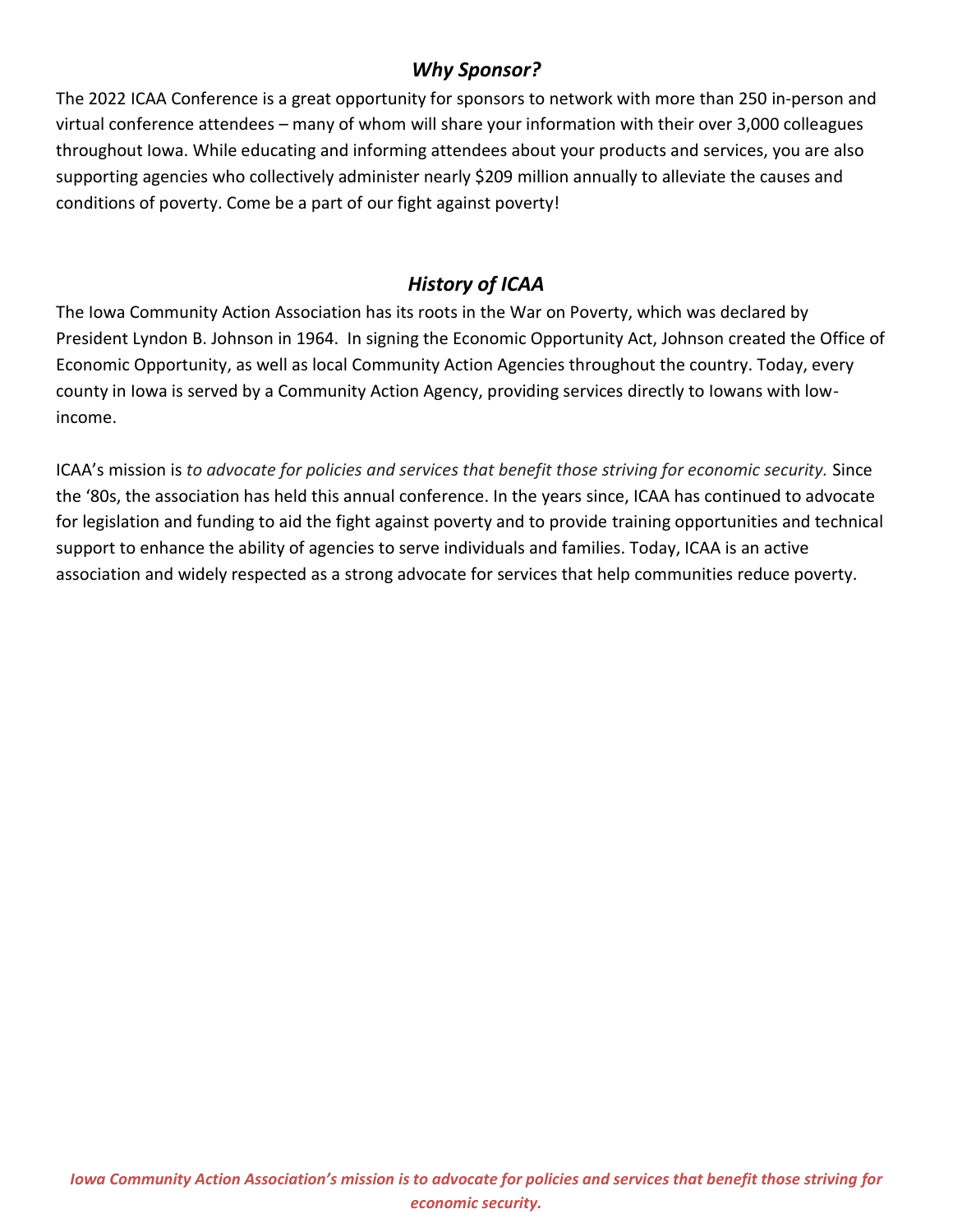### *Why Sponsor?*

The 2022 ICAA Conference is a great opportunity for sponsors to network with more than 250 in-person and virtual conference attendees – many of whom will share your information with their over 3,000 colleagues throughout Iowa. While educating and informing attendees about your products and services, you are also supporting agencies who collectively administer nearly \$209 million annually to alleviate the causes and conditions of poverty. Come be a part of our fight against poverty!

## *History of ICAA*

The Iowa Community Action Association has its roots in the War on Poverty, which was declared by President Lyndon B. Johnson in 1964. In signing the Economic Opportunity Act, Johnson created the Office of Economic Opportunity, as well as local Community Action Agencies throughout the country. Today, every county in Iowa is served by a Community Action Agency, providing services directly to Iowans with lowincome.

ICAA's mission is *to advocate for policies and services that benefit those striving for economic security.* Since the '80s, the association has held this annual conference. In the years since, ICAA has continued to advocate for legislation and funding to aid the fight against poverty and to provide training opportunities and technical support to enhance the ability of agencies to serve individuals and families. Today, ICAA is an active association and widely respected as a strong advocate for services that help communities reduce poverty.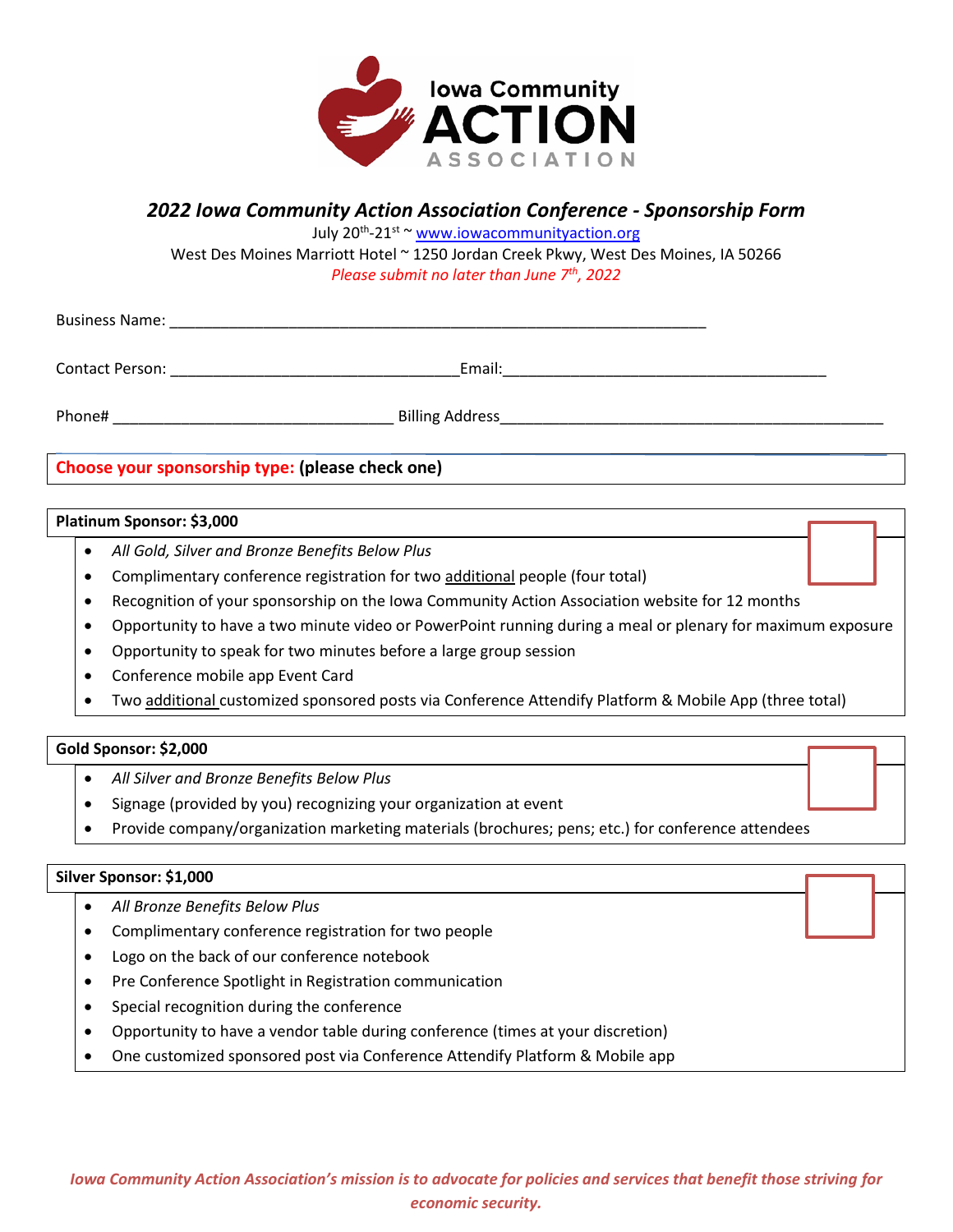

### *2022 Iowa Community Action Association Conference - Sponsorship Form*

July 20th -21st ~ [www.iowacommunityaction.org](http://www.iowacommunityaction.org/)

West Des Moines Marriott Hotel ~ 1250 Jordan Creek Pkwy, West Des Moines, IA 50266 *Please submit no later than June 7th, 2022* 

Business Name: \_\_\_\_\_\_\_\_\_\_\_\_\_\_\_\_\_\_\_\_\_\_\_\_\_\_\_\_\_\_\_\_\_\_\_\_\_\_\_\_\_\_\_\_\_\_\_\_\_\_\_\_\_\_\_\_\_\_\_\_\_\_\_

Contact Person: The contact Person: The contact Person: The contact Person: The contact Person: The contact  $\mathbb{E}$  mail:

Phone# \_\_\_\_\_\_\_\_\_\_\_\_\_\_\_\_\_\_\_\_\_\_\_\_\_\_\_\_\_\_\_\_\_ Billing Address\_\_\_\_\_\_\_\_\_\_\_\_\_\_\_\_\_\_\_\_\_\_\_\_\_\_\_\_\_\_\_\_\_\_\_\_\_\_\_\_\_\_\_\_\_

**Choose your sponsorship type: (please check one)**

#### **Platinum Sponsor: \$3,000**

- *All Gold, Silver and Bronze Benefits Below Plus*
- Complimentary conference registration for two additional people (four total)
- Recognition of your sponsorship on the Iowa Community Action Association website for 12 months
- Opportunity to have a two minute video or PowerPoint running during a meal or plenary for maximum exposure
- Opportunity to speak for two minutes before a large group session
- Conference mobile app Event Card
- Two additional customized sponsored posts via Conference Attendify Platform & Mobile App (three total)

#### **Gold Sponsor: \$2,000**

- *All Silver and Bronze Benefits Below Plus*
- Signage (provided by you) recognizing your organization at event
- Provide company/organization marketing materials (brochures; pens; etc.) for conference attendees

#### **Silver Sponsor: \$1,000**

- *All Bronze Benefits Below Plus*
- Complimentary conference registration for two people
- Logo on the back of our conference notebook
- Pre Conference Spotlight in Registration communication
- Special recognition during the conference
- Opportunity to have a vendor table during conference (times at your discretion)
- One customized sponsored post via Conference Attendify Platform & Mobile app